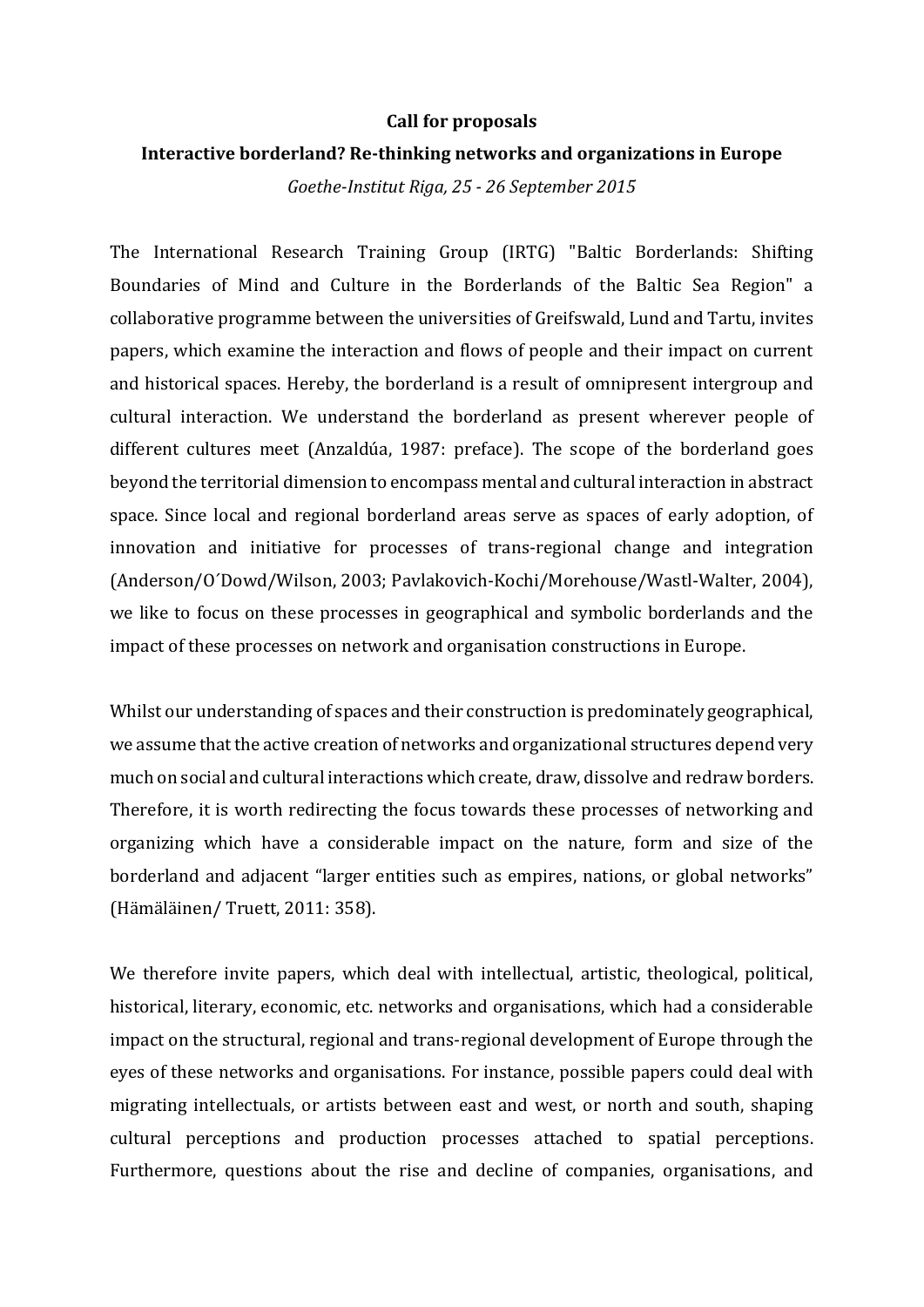## **Call for proposals**

## **Interactive borderland? Re-thinking networks and organizations in Europe**

*Goethe-Institut Riga, 25 - 26 September 2015*

The International Research Training Group (IRTG) "Baltic Borderlands: Shifting Boundaries of Mind and Culture in the Borderlands of the Baltic Sea Region" a collaborative programme between the universities of Greifswald, Lund and Tartu, invites papers, which examine the interaction and flows of people and their impact on current and historical spaces. Hereby, the borderland is a result of omnipresent intergroup and cultural interaction. We understand the borderland as present wherever people of different cultures meet (Anzaldúa, 1987: preface). The scope of the borderland goes beyond the territorial dimension to encompass mental and cultural interaction in abstract space. Since local and regional borderland areas serve as spaces of early adoption, of innovation and initiative for processes of trans-regional change and integration (Anderson/O´Dowd/Wilson, 2003; Pavlakovich-Kochi/Morehouse/Wastl-Walter, 2004), we like to focus on these processes in geographical and symbolic borderlands and the impact of these processes on network and organisation constructions in Europe.

Whilst our understanding of spaces and their construction is predominately geographical, we assume that the active creation of networks and organizational structures depend very much on social and cultural interactions which create, draw, dissolve and redraw borders. Therefore, it is worth redirecting the focus towards these processes of networking and organizing which have a considerable impact on the nature, form and size of the borderland and adjacent "larger entities such as empires, nations, or global networks" (Hämäläinen/ Truett, 2011: 358).

We therefore invite papers, which deal with intellectual, artistic, theological, political, historical, literary, economic, etc. networks and organisations, which had a considerable impact on the structural, regional and trans-regional development of Europe through the eyes of these networks and organisations. For instance, possible papers could deal with migrating intellectuals, or artists between east and west, or north and south, shaping cultural perceptions and production processes attached to spatial perceptions. Furthermore, questions about the rise and decline of companies, organisations, and